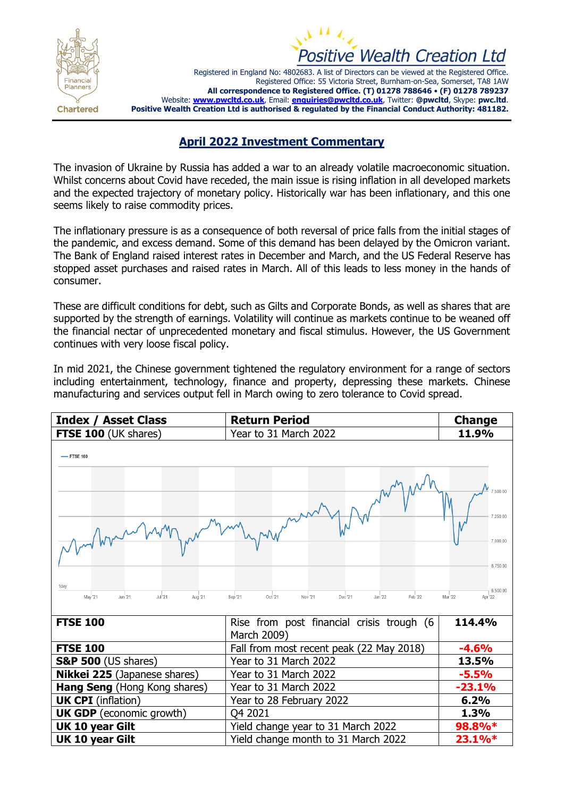



Registered in England No: 4802683. A list of Directors can be viewed at the Registered Office. Registered Office: 55 Victoria Street, Burnham-on-Sea, Somerset, TA8 1AW **All correspondence to Registered Office. (T) 01278 788646** • **(F) 01278 789237** Website: **[www.pwcltd.co.uk](http://www.pwcltd.co.uk/)**, Email: **[enquiries@pwcltd.co.uk](mailto:enquiries@pwcltd.co.uk)**, Twitter: **@pwcltd**, Skype: **pwc.ltd**. **Positive Wealth Creation Ltd is authorised & regulated by the Financial Conduct Authority: 481182.**

## **April 2022 Investment Commentary**

The invasion of Ukraine by Russia has added a war to an already volatile macroeconomic situation. Whilst concerns about Covid have receded, the main issue is rising inflation in all developed markets and the expected trajectory of monetary policy. Historically war has been inflationary, and this one seems likely to raise commodity prices.

The inflationary pressure is as a consequence of both reversal of price falls from the initial stages of the pandemic, and excess demand. Some of this demand has been delayed by the Omicron variant. The Bank of England raised interest rates in December and March, and the US Federal Reserve has stopped asset purchases and raised rates in March. All of this leads to less money in the hands of consumer.

These are difficult conditions for debt, such as Gilts and Corporate Bonds, as well as shares that are supported by the strength of earnings. Volatility will continue as markets continue to be weaned off the financial nectar of unprecedented monetary and fiscal stimulus. However, the US Government continues with very loose fiscal policy.

In mid 2021, the Chinese government tightened the regulatory environment for a range of sectors including entertainment, technology, finance and property, depressing these markets. Chinese manufacturing and services output fell in March owing to zero tolerance to Covid spread.

| <b>Index / Asset Class</b>                                      | <b>Return Period</b>                                          | <b>Change</b>                                                                |
|-----------------------------------------------------------------|---------------------------------------------------------------|------------------------------------------------------------------------------|
| <b>FTSE 100 (UK shares)</b>                                     | Year to 31 March 2022                                         | 11.9%                                                                        |
| $-$ FTSE 100<br>1day<br>May '21<br>Jun '21<br>Jul 21<br>Aug '21 | Oct '21<br>Nov '21<br>Dec '21<br>Jan '22<br>Feb '22<br>Sep 21 | 500.00<br>7,250.00<br>7.000.00<br>6,750.00<br>6,500.00<br>Mar '22<br>Apr '22 |
| <b>FTSE 100</b>                                                 | Rise from post financial crisis trough (6<br>March 2009)      | 114.4%                                                                       |
| <b>FTSE 100</b>                                                 | Fall from most recent peak (22 May 2018)                      | $-4.6%$                                                                      |
| <b>S&amp;P 500</b> (US shares)                                  | Year to 31 March 2022                                         | 13.5%                                                                        |
| Nikkei 225 (Japanese shares)                                    | Year to 31 March 2022                                         | $-5.5%$                                                                      |
| Hang Seng (Hong Kong shares)                                    | Year to 31 March 2022                                         | $-23.1%$                                                                     |
| <b>UK CPI</b> (inflation)                                       | Year to 28 February 2022                                      | 6.2%                                                                         |
| <b>UK GDP</b> (economic growth)                                 | Q4 2021                                                       | 1.3%                                                                         |
| UK 10 year Gilt                                                 | Yield change year to 31 March 2022                            | 98.8%*                                                                       |
| UK 10 year Gilt                                                 | Yield change month to 31 March 2022                           | 23.1%*                                                                       |